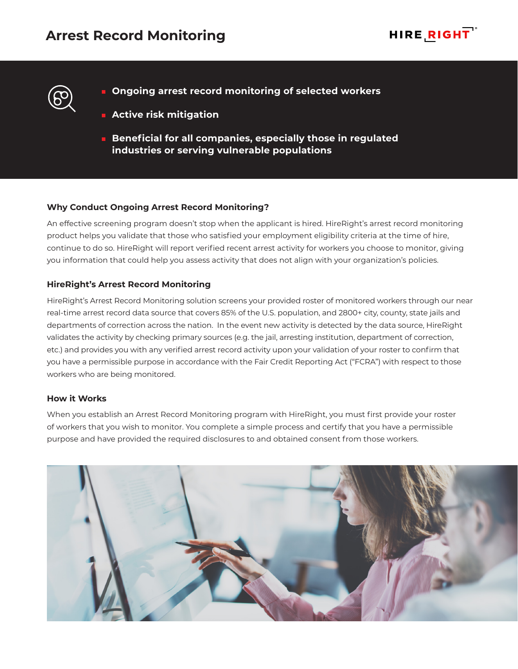

- **Ongoing arrest record monitoring of selected workers**
	- **Active risk mitigation**
	- **Beneficial for all companies, especially those in regulated industries or serving vulnerable populations**

## **Why Conduct Ongoing Arrest Record Monitoring?**

An effective screening program doesn't stop when the applicant is hired. HireRight's arrest record monitoring product helps you validate that those who satisfied your employment eligibility criteria at the time of hire, continue to do so. HireRight will report verified recent arrest activity for workers you choose to monitor, giving you information that could help you assess activity that does not align with your organization's policies.

## **HireRight's Arrest Record Monitoring**

HireRight's Arrest Record Monitoring solution screens your provided roster of monitored workers through our near real-time arrest record data source that covers 85% of the U.S. population, and 2800+ city, county, state jails and departments of correction across the nation. In the event new activity is detected by the data source, HireRight validates the activity by checking primary sources (e.g. the jail, arresting institution, department of correction, etc.) and provides you with any verified arrest record activity upon your validation of your roster to confirm that you have a permissible purpose in accordance with the Fair Credit Reporting Act ("FCRA") with respect to those workers who are being monitored.

## **How it Works**

When you establish an Arrest Record Monitoring program with HireRight, you must first provide your roster of workers that you wish to monitor. You complete a simple process and certify that you have a permissible purpose and have provided the required disclosures to and obtained consent from those workers.